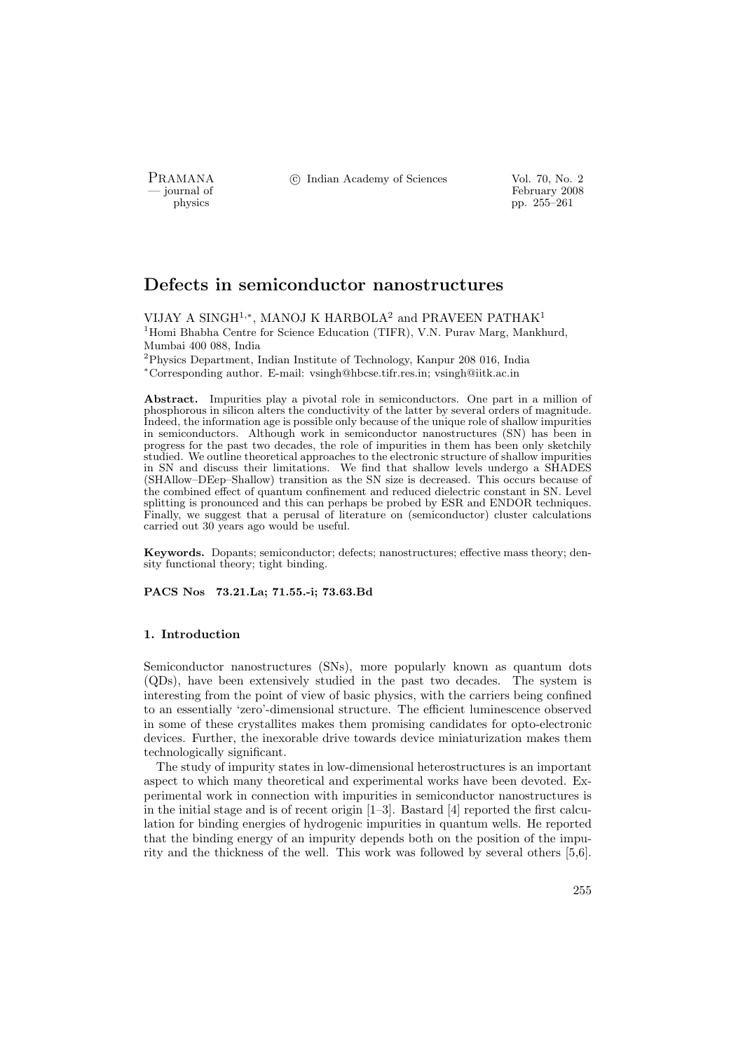PRAMANA <sup>C</sup> Indian Academy of Sciences Vol. 70, No. 2

physics<br>
and the settlement of February 2008<br>
pp. 255–261 physics pp. 255–261

# Defects in semiconductor nanostructures

VIJAY A SINGH<sup>1,\*</sup>, MANOJ K HARBOLA<sup>2</sup> and PRAVEEN PATHAK<sup>1</sup> <sup>1</sup>Homi Bhabha Centre for Science Education (TIFR), V.N. Purav Marg, Mankhurd, Mumbai 400 088, India

<sup>2</sup>Physics Department, Indian Institute of Technology, Kanpur 208 016, India <sup>∗</sup>Corresponding author. E-mail: vsingh@hbcse.tifr.res.in; vsingh@iitk.ac.in

Abstract. Impurities play a pivotal role in semiconductors. One part in a million of phosphorous in silicon alters the conductivity of the latter by several orders of magnitude. Indeed, the information age is possible only because of the unique role of shallow impurities in semiconductors. Although work in semiconductor nanostructures (SN) has been in progress for the past two decades, the role of impurities in them has been only sketchily studied. We outline theoretical approaches to the electronic structure of shallow impurities in SN and discuss their limitations. We find that shallow levels undergo a SHADES (SHAllow–DEep–Shallow) transition as the SN size is decreased. This occurs because of the combined effect of quantum confinement and reduced dielectric constant in SN. Level splitting is pronounced and this can perhaps be probed by ESR and ENDOR techniques. Finally, we suggest that a perusal of literature on (semiconductor) cluster calculations carried out 30 years ago would be useful.

Keywords. Dopants; semiconductor; defects; nanostructures; effective mass theory; density functional theory; tight binding.

PACS Nos 73.21.La; 71.55.-i; 73.63.Bd

# 1. Introduction

Semiconductor nanostructures (SNs), more popularly known as quantum dots (QDs), have been extensively studied in the past two decades. The system is interesting from the point of view of basic physics, with the carriers being confined to an essentially 'zero'-dimensional structure. The efficient luminescence observed in some of these crystallites makes them promising candidates for opto-electronic devices. Further, the inexorable drive towards device miniaturization makes them technologically significant.

The study of impurity states in low-dimensional heterostructures is an important aspect to which many theoretical and experimental works have been devoted. Experimental work in connection with impurities in semiconductor nanostructures is in the initial stage and is of recent origin [1–3]. Bastard [4] reported the first calculation for binding energies of hydrogenic impurities in quantum wells. He reported that the binding energy of an impurity depends both on the position of the impurity and the thickness of the well. This work was followed by several others [5,6].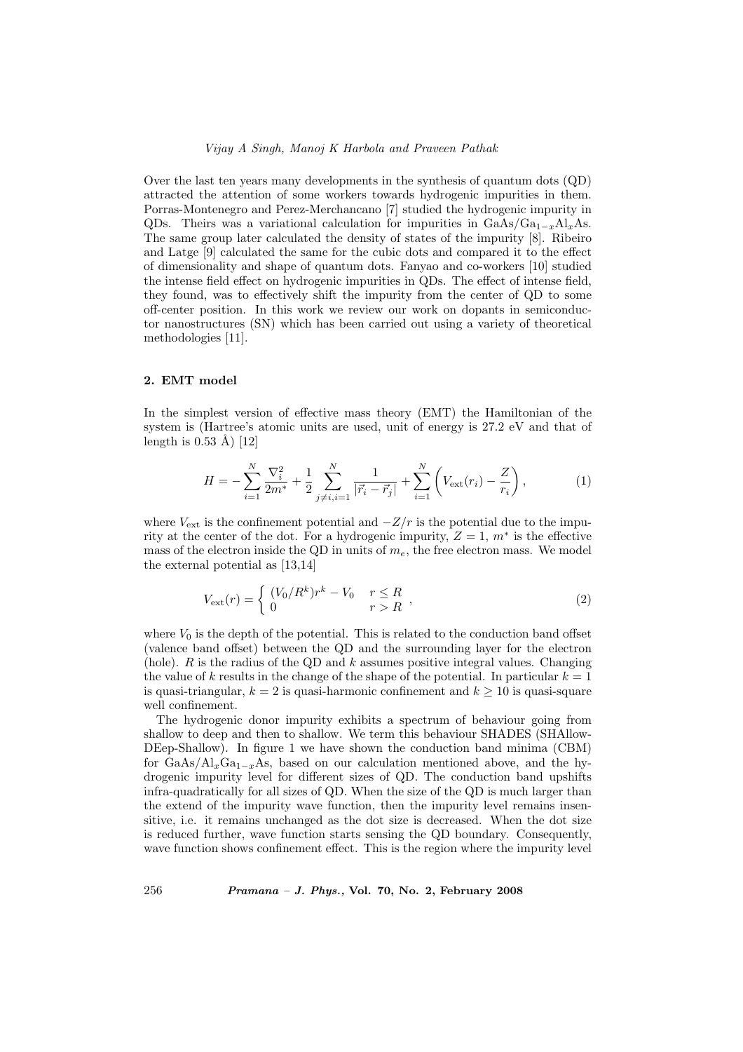Over the last ten years many developments in the synthesis of quantum dots (QD) attracted the attention of some workers towards hydrogenic impurities in them. Porras-Montenegro and Perez-Merchancano [7] studied the hydrogenic impurity in QDs. Theirs was a variational calculation for impurities in  $GaAs/Ga<sub>1-x</sub>Al<sub>x</sub>As$ . The same group later calculated the density of states of the impurity [8]. Ribeiro and Latge [9] calculated the same for the cubic dots and compared it to the effect of dimensionality and shape of quantum dots. Fanyao and co-workers [10] studied the intense field effect on hydrogenic impurities in QDs. The effect of intense field, they found, was to effectively shift the impurity from the center of QD to some off-center position. In this work we review our work on dopants in semiconductor nanostructures (SN) which has been carried out using a variety of theoretical methodologies [11].

## 2. EMT model

In the simplest version of effective mass theory (EMT) the Hamiltonian of the system is (Hartree's atomic units are used, unit of energy is 27.2 eV and that of length is  $0.53$  Å) [12]

$$
H = -\sum_{i=1}^{N} \frac{\nabla_i^2}{2m^*} + \frac{1}{2} \sum_{j \neq i, i=1}^{N} \frac{1}{|\vec{r}_i - \vec{r}_j|} + \sum_{i=1}^{N} \left( V_{\text{ext}}(r_i) - \frac{Z}{r_i} \right), \tag{1}
$$

where  $V_{\text{ext}}$  is the confinement potential and  $-Z/r$  is the potential due to the impurity at the center of the dot. For a hydrogenic impurity,  $Z = 1, m^*$  is the effective mass of the electron inside the QD in units of  $m<sub>e</sub>$ , the free electron mass. We model the external potential as [13,14]

$$
V_{\text{ext}}(r) = \begin{cases} (V_0/R^k)r^k - V_0 & r \le R \\ 0 & r > R \end{cases},
$$
\n(2)

where  $V_0$  is the depth of the potential. This is related to the conduction band offset (valence band offset) between the QD and the surrounding layer for the electron (hole).  $R$  is the radius of the QD and  $k$  assumes positive integral values. Changing the value of k results in the change of the shape of the potential. In particular  $k = 1$ is quasi-triangular,  $k = 2$  is quasi-harmonic confinement and  $k \ge 10$  is quasi-square well confinement.

The hydrogenic donor impurity exhibits a spectrum of behaviour going from shallow to deep and then to shallow. We term this behaviour SHADES (SHAllow-DEep-Shallow). In figure 1 we have shown the conduction band minima (CBM) for GaAs/Al<sub>x</sub>Ga<sub>1−x</sub>As, based on our calculation mentioned above, and the hydrogenic impurity level for different sizes of QD. The conduction band upshifts infra-quadratically for all sizes of QD. When the size of the QD is much larger than the extend of the impurity wave function, then the impurity level remains insensitive, i.e. it remains unchanged as the dot size is decreased. When the dot size is reduced further, wave function starts sensing the QD boundary. Consequently, wave function shows confinement effect. This is the region where the impurity level

 $256$  Pramana – J. Phys., Vol. 70, No. 2, February 2008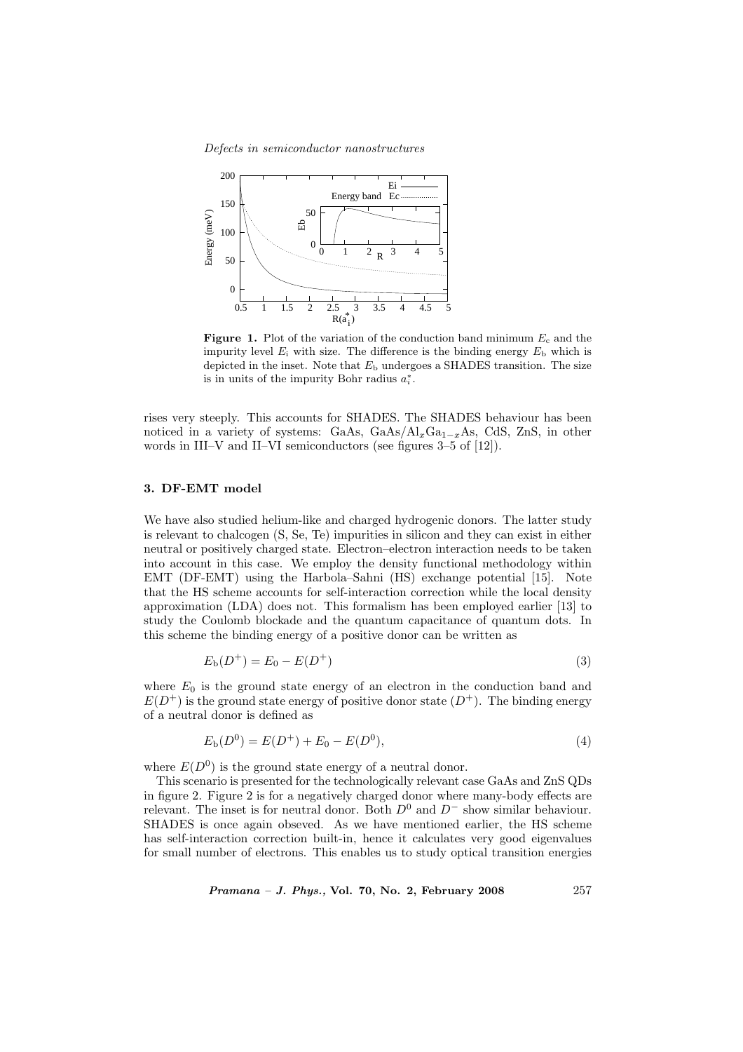Defects in semiconductor nanostructures



**Figure 1.** Plot of the variation of the conduction band minimum  $E_c$  and the impurity level  $E_i$  with size. The difference is the binding energy  $E_b$  which is depicted in the inset. Note that  $E<sub>b</sub>$  undergoes a SHADES transition. The size is in units of the impurity Bohr radius  $a_i^*$ .

rises very steeply. This accounts for SHADES. The SHADES behaviour has been noticed in a variety of systems: GaAs,  $GaAs/Al_xGa_{1-x}As$ , CdS, ZnS, in other words in III–V and II–VI semiconductors (see figures 3–5 of [12]).

# 3. DF-EMT model

We have also studied helium-like and charged hydrogenic donors. The latter study is relevant to chalcogen (S, Se, Te) impurities in silicon and they can exist in either neutral or positively charged state. Electron–electron interaction needs to be taken into account in this case. We employ the density functional methodology within EMT (DF-EMT) using the Harbola–Sahni (HS) exchange potential [15]. Note that the HS scheme accounts for self-interaction correction while the local density approximation (LDA) does not. This formalism has been employed earlier [13] to study the Coulomb blockade and the quantum capacitance of quantum dots. In this scheme the binding energy of a positive donor can be written as

$$
E_{\rm b}(D^{+}) = E_0 - E(D^{+})
$$
\n(3)

where  $E_0$  is the ground state energy of an electron in the conduction band and  $E(D^+)$  is the ground state energy of positive donor state  $(D^+)$ . The binding energy of a neutral donor is defined as

$$
E_{\rm b}(D^0) = E(D^+) + E_0 - E(D^0),\tag{4}
$$

where  $E(D^0)$  is the ground state energy of a neutral donor.

This scenario is presented for the technologically relevant case GaAs and ZnS QDs in figure 2. Figure 2 is for a negatively charged donor where many-body effects are relevant. The inset is for neutral donor. Both  $D^0$  and  $D^-$  show similar behaviour. SHADES is once again obseved. As we have mentioned earlier, the HS scheme has self-interaction correction built-in, hence it calculates very good eigenvalues for small number of electrons. This enables us to study optical transition energies

*Pramana – J. Phys.*, Vol. 70, No. 2, February 2008 257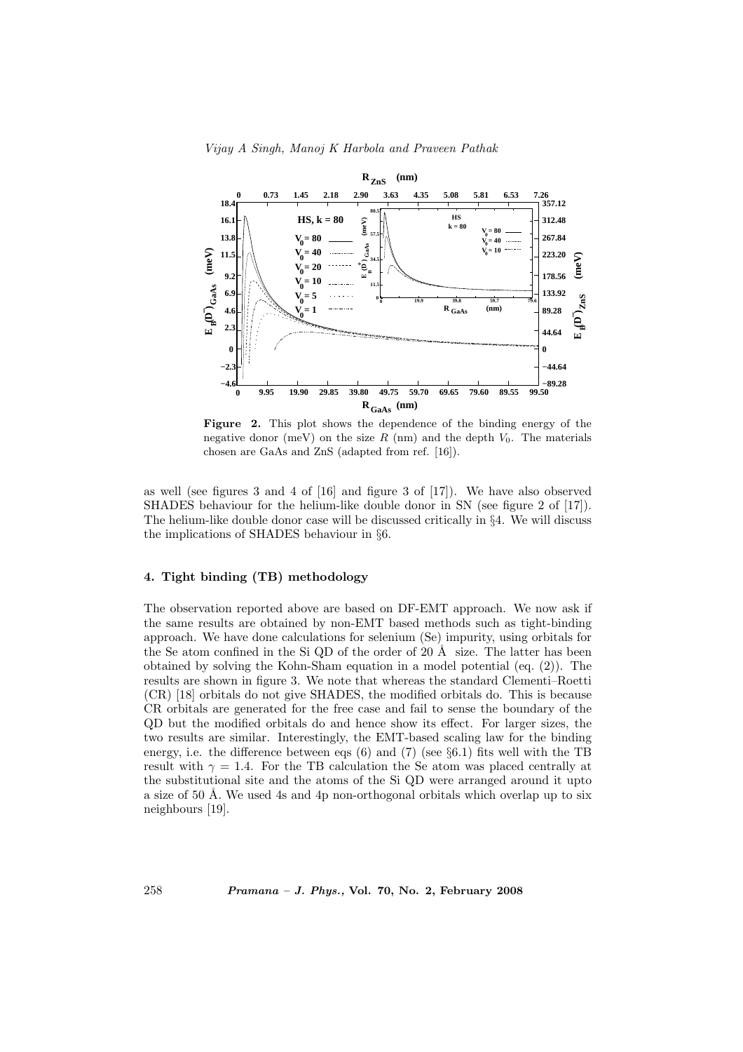

Figure 2. This plot shows the dependence of the binding energy of the negative donor (meV) on the size R (nm) and the depth  $V_0$ . The materials chosen are GaAs and ZnS (adapted from ref. [16]).

as well (see figures 3 and 4 of [16] and figure 3 of [17]). We have also observed SHADES behaviour for the helium-like double donor in SN (see figure 2 of [17]). The helium-like double donor case will be discussed critically in §4. We will discuss the implications of SHADES behaviour in §6.

# 4. Tight binding (TB) methodology

The observation reported above are based on DF-EMT approach. We now ask if the same results are obtained by non-EMT based methods such as tight-binding approach. We have done calculations for selenium (Se) impurity, using orbitals for the Se atom confined in the Si QD of the order of 20 Å size. The latter has been obtained by solving the Kohn-Sham equation in a model potential (eq.  $(2)$ ). The results are shown in figure 3. We note that whereas the standard Clementi–Roetti (CR) [18] orbitals do not give SHADES, the modified orbitals do. This is because CR orbitals are generated for the free case and fail to sense the boundary of the QD but the modified orbitals do and hence show its effect. For larger sizes, the two results are similar. Interestingly, the EMT-based scaling law for the binding energy, i.e. the difference between eqs  $(6)$  and  $(7)$  (see  $\S6.1$ ) fits well with the TB result with  $\gamma = 1.4$ . For the TB calculation the Se atom was placed centrally at the substitutional site and the atoms of the Si QD were arranged around it upto a size of 50 Å. We used 4s and 4p non-orthogonal orbitals which overlap up to six neighbours [19].

258 Pramana – J. Phys., Vol. 70, No. 2, February 2008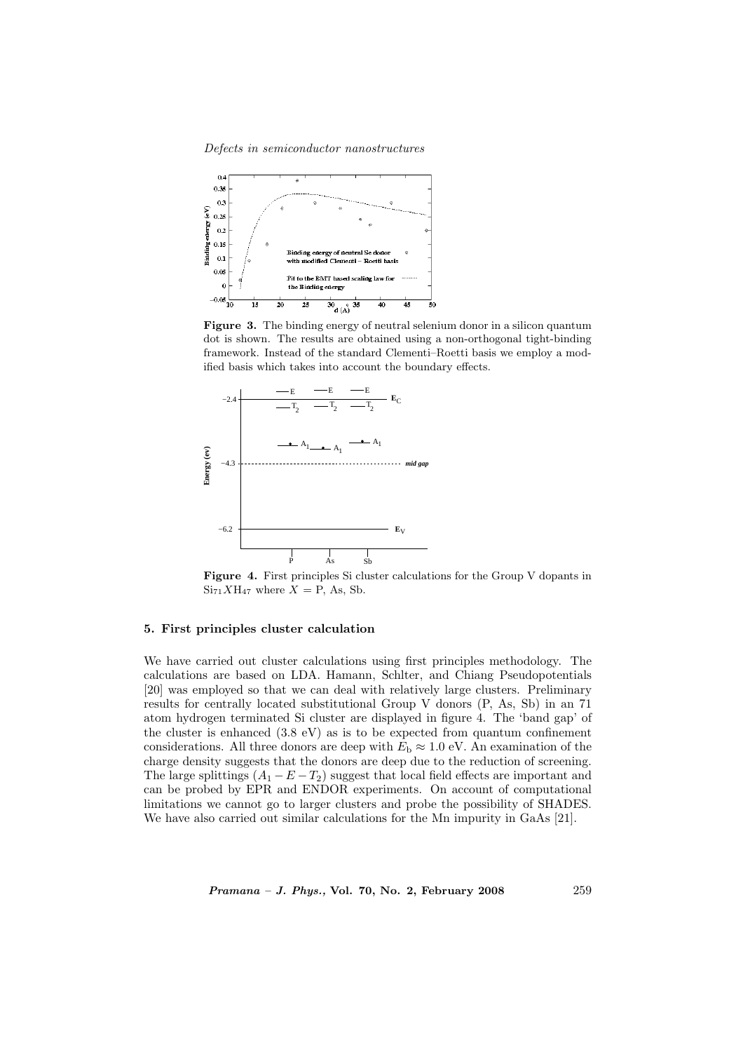Defects in semiconductor nanostructures



Figure 3. The binding energy of neutral selenium donor in a silicon quantum dot is shown. The results are obtained using a non-orthogonal tight-binding framework. Instead of the standard Clementi–Roetti basis we employ a modified basis which takes into account the boundary effects.



Figure 4. First principles Si cluster calculations for the Group V dopants in  $Si<sub>71</sub> XH<sub>47</sub>$  where  $X = P$ , As, Sb.

#### 5. First principles cluster calculation

We have carried out cluster calculations using first principles methodology. The calculations are based on LDA. Hamann, Schlter, and Chiang Pseudopotentials [20] was employed so that we can deal with relatively large clusters. Preliminary results for centrally located substitutional Group V donors (P, As, Sb) in an 71 atom hydrogen terminated Si cluster are displayed in figure 4. The 'band gap' of the cluster is enhanced  $(3.8 \text{ eV})$  as is to be expected from quantum confinement considerations. All three donors are deep with  $E<sub>b</sub> \approx 1.0$  eV. An examination of the charge density suggests that the donors are deep due to the reduction of screening. The large splittings  $(A_1 - E - T_2)$  suggest that local field effects are important and can be probed by EPR and ENDOR experiments. On account of computational limitations we cannot go to larger clusters and probe the possibility of SHADES. We have also carried out similar calculations for the Mn impurity in GaAs [21].

*Pramana – J. Phys.*, Vol. 70, No. 2, February 2008 259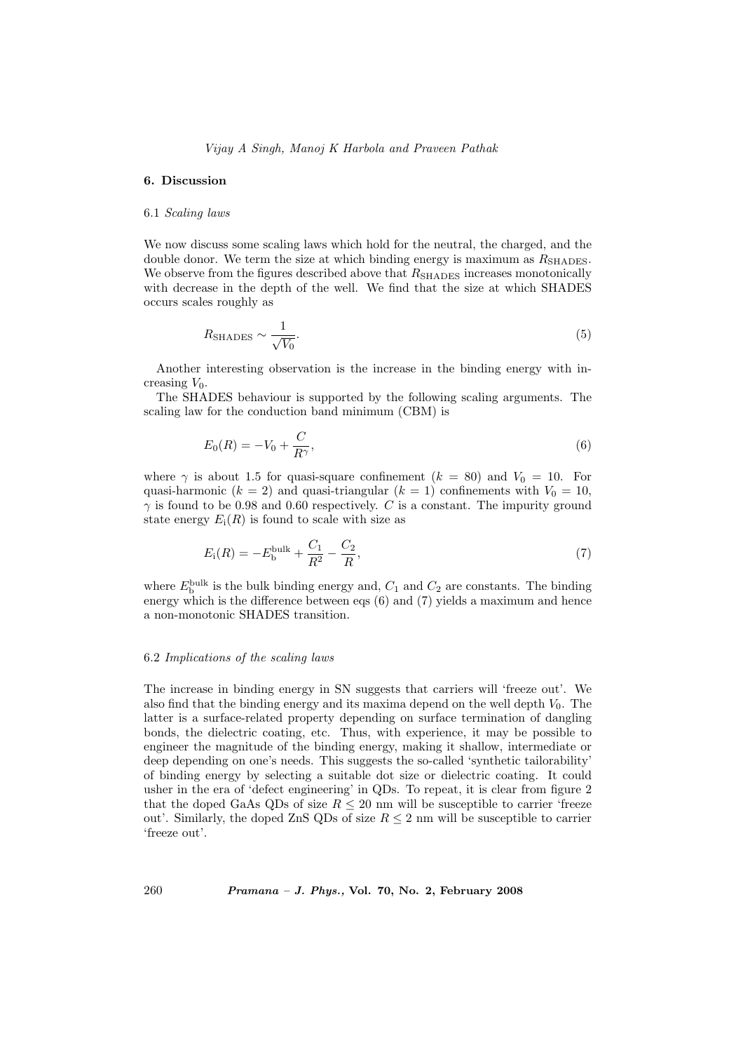# 6. Discussion

# 6.1 Scaling laws

We now discuss some scaling laws which hold for the neutral, the charged, and the double donor. We term the size at which binding energy is maximum as  $R_{\text{SHADES}}$ . We observe from the figures described above that  $R_{\text{SHADES}}$  increases monotonically with decrease in the depth of the well. We find that the size at which SHADES occurs scales roughly as

$$
R_{\text{SHADES}} \sim \frac{1}{\sqrt{V_0}}.\tag{5}
$$

Another interesting observation is the increase in the binding energy with increasing  $V_0$ .

The SHADES behaviour is supported by the following scaling arguments. The scaling law for the conduction band minimum (CBM) is

$$
E_0(R) = -V_0 + \frac{C}{R^{\gamma}},\tag{6}
$$

where  $\gamma$  is about 1.5 for quasi-square confinement  $(k = 80)$  and  $V_0 = 10$ . For quasi-harmonic ( $k = 2$ ) and quasi-triangular ( $k = 1$ ) confinements with  $V_0 = 10$ ,  $\gamma$  is found to be 0.98 and 0.60 respectively. C is a constant. The impurity ground state energy  $E_i(R)$  is found to scale with size as

$$
E_{\rm i}(R) = -E_{\rm b}^{\rm bulk} + \frac{C_1}{R^2} - \frac{C_2}{R},\tag{7}
$$

where  $E_{\rm b}^{\rm bulk}$  is the bulk binding energy and,  $C_1$  and  $C_2$  are constants. The binding energy which is the difference between eqs (6) and (7) yields a maximum and hence a non-monotonic SHADES transition.

#### 6.2 Implications of the scaling laws

The increase in binding energy in SN suggests that carriers will 'freeze out'. We also find that the binding energy and its maxima depend on the well depth  $V_0$ . The latter is a surface-related property depending on surface termination of dangling bonds, the dielectric coating, etc. Thus, with experience, it may be possible to engineer the magnitude of the binding energy, making it shallow, intermediate or deep depending on one's needs. This suggests the so-called 'synthetic tailorability' of binding energy by selecting a suitable dot size or dielectric coating. It could usher in the era of 'defect engineering' in QDs. To repeat, it is clear from figure 2 that the doped GaAs QDs of size  $R \leq 20$  nm will be susceptible to carrier 'freeze out'. Similarly, the doped ZnS QDs of size  $R \leq 2$  nm will be susceptible to carrier 'freeze out'.

## 260 Pramana – J. Phys., Vol. 70, No. 2, February 2008